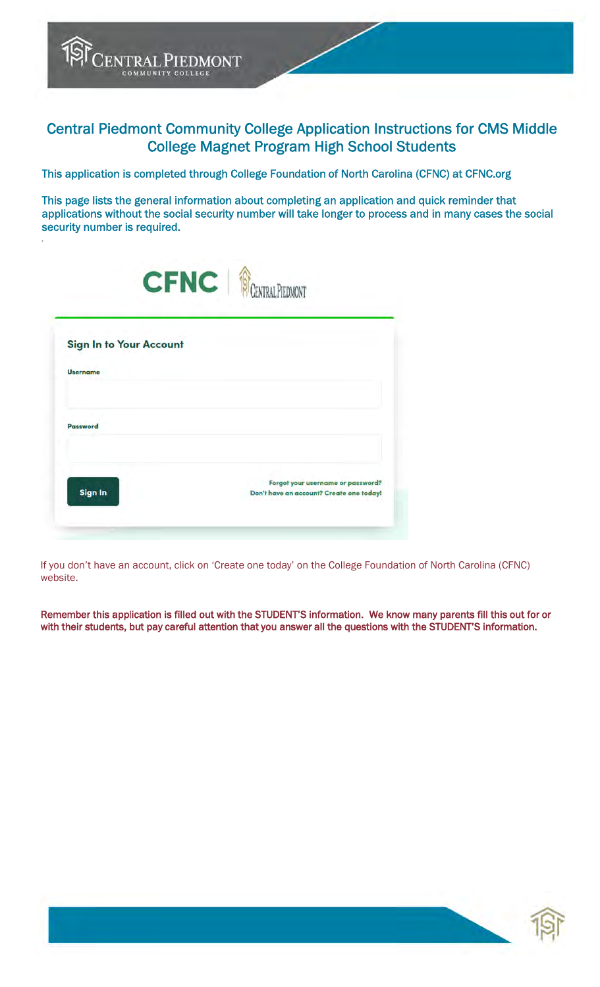Central Piedmont Community College Application Instructions for CMS Middle College Magnet Program High School Students

This application is completed through College Foundation of North Carolina (CFNC) at CFNC.org

This page lists the general information about completing an application and quick reminder that applications without the social security number will take longer to process and in many cases the social security number is required.

| <b>Sign In to Your Account</b> |  |
|--------------------------------|--|
| <b>Username</b>                |  |
| Password                       |  |
|                                |  |

TOP CENTRAL PIEDMONT

*.* 

If you don't have an account, click on 'Create one today' on the College Foundation of North Carolina (CFNC) website.

Remember this application is filled out with the STUDENT'S information. We know many parents fill this out for or with their students, but pay careful attention that you answer all the questions with the STUDENT'S information.

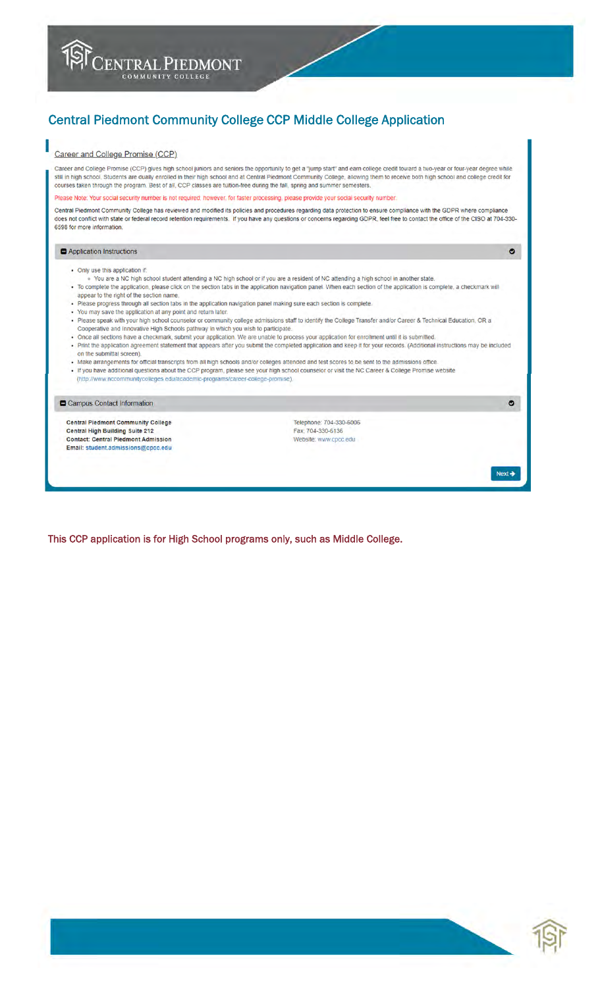# **Central Piedmont Community College CCP Middle College Application**

### Career and College Promise (CCP)

Career and College Promise (CCP) gives high school juniors and seniors the opportunity to get a "jump start" and eam college credit toward a two-year or four-year degree while still in high school. Students are dually enrolled in their high school and at Central Piedmont Community College, allowing them to receive both high school and college credit for courses taken through the program. Best of

ase Note: Your social security number is not required; however, for faster processing, please provide your social security number

Central Piedmont Community College has reviewed and modified its policies and procedures regarding data protection to ensure compliance with the GDPR where compliance does not conflict with state or federal record retention requirements. If you have any questions or concerns regarding GDPR, feel free to contact the office of the CISO at 704-330-6598 for more information.

#### Application Instructions

- Only use this application if
- o You are a NC high school student attending a NC high school or if you are a resident of NC attending a high school in another state.<br>• To complete the application, please click on the section tabs in the application nav
- appear to the right of the section name
- . Please progress through all section tabs in the application navigation panel making sure each section is complete.
- 
- You may save the application at any point and return later.<br>- You may save the application at any point and return later.<br>- Please speak with your high school counselor or community college admissions staff to identify t Cooperative and Innovative High Schools pathway in which you wish to participate.
- Once all sections have a checkmark, submit your application. We are unable to process your application for enrollment until it is submitted. . Print the application agreement statement that appears after you submit the completed application and keep it for your records. (Additional instructions may be included
- on the submittal screen).
- . Make arrangements for official transcripts from all high schools and/or colleges attended and test scores to be sent to the admissions office.
- If you have additional questions about the CCP program, please see your high school counselor or visit the NC Career & College Promise website<br>(http://www.nccommunitycolleges.edu/academic-programs/career-college-promise)
- 

#### Campus Contact Information

**Central Piedmont Community College** Central High Building Suite 212 **Contact: Central Piedmont Admission** Email: student.admissions@cpcc.edu

Telephone: 704-330-6006 Fax: 704-330-6136 Website: www.cpcc.edu

This CCP application is for High School programs only, such as Middle College.



 $\bullet$ 

 $\bullet$ 

 $Next$   $\rightarrow$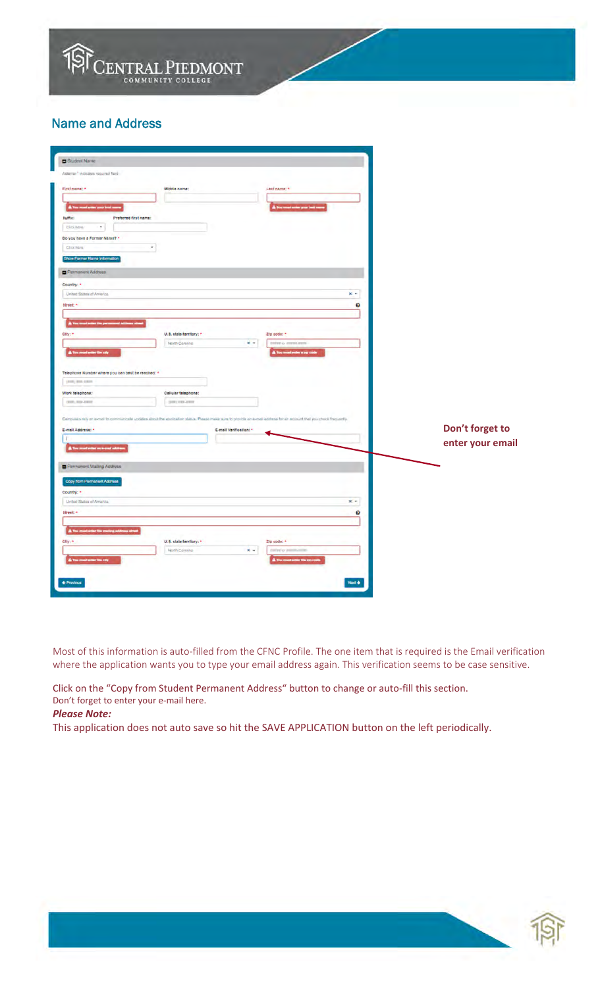

## Name and Address

| Student Name                                      |                                           |                                                                                                                                                                       |                     |                  |
|---------------------------------------------------|-------------------------------------------|-----------------------------------------------------------------------------------------------------------------------------------------------------------------------|---------------------|------------------|
| Asterse * indicates required field                |                                           |                                                                                                                                                                       |                     |                  |
| First name: =                                     | Middle name:                              | Last name; <                                                                                                                                                          |                     |                  |
|                                                   |                                           |                                                                                                                                                                       |                     |                  |
| A Your must writer your test sures                |                                           | A You must under your bast on                                                                                                                                         |                     |                  |
| <b>Buffar</b><br>Preferred first name:            |                                           |                                                                                                                                                                       |                     |                  |
| $\bullet$<br>Cici hara                            |                                           |                                                                                                                                                                       |                     |                  |
| Do you have a Former Name? *                      |                                           |                                                                                                                                                                       |                     |                  |
| Click hard                                        | $\overline{\phantom{a}}$                  |                                                                                                                                                                       |                     |                  |
| Show Formar Name Information                      |                                           |                                                                                                                                                                       |                     |                  |
| Permanent Address                                 |                                           |                                                                                                                                                                       |                     |                  |
| Country: *                                        |                                           |                                                                                                                                                                       |                     |                  |
| United States of America                          |                                           |                                                                                                                                                                       | $x -$               |                  |
| <b>Street</b> *                                   |                                           |                                                                                                                                                                       | $\ddot{\mathbf{e}}$ |                  |
|                                                   |                                           |                                                                                                                                                                       |                     |                  |
|                                                   |                                           |                                                                                                                                                                       |                     |                  |
| City: *                                           | U.S. clate/territory: *<br>North Carolina | Zip code: *<br>$x +$<br>mint o anniunn                                                                                                                                |                     |                  |
| <b>AT-</b><br>standardin city                     |                                           | ber a sep co                                                                                                                                                          |                     |                  |
|                                                   |                                           |                                                                                                                                                                       |                     |                  |
| Telephone Number where you can best be reached: * |                                           |                                                                                                                                                                       |                     |                  |
| (818) 818-8518                                    |                                           |                                                                                                                                                                       |                     |                  |
| Work telephone:                                   | Cellular telephone:                       |                                                                                                                                                                       |                     |                  |
| (307) 703-2302                                    | 301102-2007                               |                                                                                                                                                                       |                     |                  |
|                                                   |                                           | Campuses rely on e-mail to communicate updates about the application status. Please make sure to provide an e-mail address for air account that you chook frequently. |                     |                  |
| E-mail Address: *                                 |                                           | E-mail Vertification: *                                                                                                                                               |                     | Don't forget to  |
| T                                                 |                                           |                                                                                                                                                                       |                     |                  |
|                                                   |                                           |                                                                                                                                                                       |                     | enter your email |
|                                                   |                                           |                                                                                                                                                                       |                     |                  |
| Permanent Maling Address                          |                                           |                                                                                                                                                                       |                     |                  |
| Copy from Permanent Address                       |                                           |                                                                                                                                                                       |                     |                  |
| Country: *                                        |                                           |                                                                                                                                                                       |                     |                  |
| United States of America                          |                                           |                                                                                                                                                                       | $x +$               |                  |
| tirest."                                          |                                           |                                                                                                                                                                       | ø                   |                  |
|                                                   |                                           |                                                                                                                                                                       |                     |                  |
| <b>A</b> To<br>City: *                            | U.S. state/territory: *                   |                                                                                                                                                                       |                     |                  |
|                                                   | North Carolina                            | Zip code: *<br>$x -$<br>control or beam                                                                                                                               |                     |                  |
|                                                   |                                           |                                                                                                                                                                       |                     |                  |
|                                                   |                                           |                                                                                                                                                                       |                     |                  |
| + Province                                        |                                           |                                                                                                                                                                       | North               |                  |
|                                                   |                                           |                                                                                                                                                                       |                     |                  |

Most of this information is auto-filled from the CFNC Profile. The one item that is required is the Email verification where the application wants you to type your email address again. This verification seems to be case sensitive.

Click on the "Copy from Student Permanent Address" button to change or auto‐fill this section. Don't forget to enter your e‐mail here.

### *Please Note:*

This application does not auto save so hit the SAVE APPLICATION button on the left periodically.

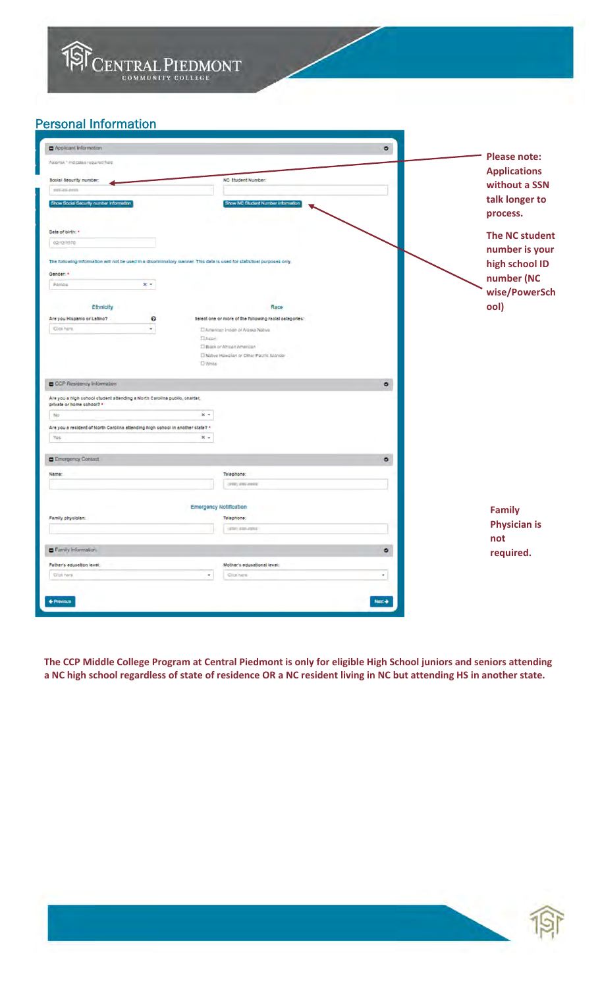

## Personal Information

| Applicant Information                                                                                                   |                                                        | $\bullet$             |
|-------------------------------------------------------------------------------------------------------------------------|--------------------------------------------------------|-----------------------|
| Astorisk * Indicates required field                                                                                     |                                                        | <b>Please note:</b>   |
|                                                                                                                         |                                                        | <b>Applications</b>   |
| toolal security number:                                                                                                 | NC Student Number:                                     | without a SSN         |
| www.asi.extra                                                                                                           |                                                        | talk longer to        |
| Show Social Security number information                                                                                 | Show NC Student Number information                     | process.              |
| Date of birth: *                                                                                                        |                                                        | <b>The NC student</b> |
| 02/12/1970                                                                                                              |                                                        | number is your        |
| The following information will not be used in a disoriminatory manner. This data is used for statistical purposes only. |                                                        | high school ID        |
| Gender: *                                                                                                               |                                                        | number (NC            |
| $x -$<br>Pamille                                                                                                        |                                                        | wise/PowerSch         |
| Ethnicity                                                                                                               | Race                                                   | ool)                  |
| $\boldsymbol{\Theta}$<br>Are you Hispanic or Latino?                                                                    | selections or more of the following racial categories: |                       |
| <b>Click here</b><br>÷.                                                                                                 | El American Indian of Algeka Native                    |                       |
|                                                                                                                         | <b>ElAsian</b>                                         |                       |
|                                                                                                                         | El Black or African American                           |                       |
|                                                                                                                         | I. Native Hawakan or Other Pacific Islander            |                       |
|                                                                                                                         | <b>DWhite</b>                                          |                       |
| CCP Residency Information                                                                                               |                                                        | ۰                     |
| Are you a high school student attending a North Carolina public, charter,<br>private or home school? *                  |                                                        |                       |
| No                                                                                                                      | $x +$                                                  |                       |
| Are you a resident of North Carolina attending high school in another state? *                                          |                                                        |                       |
| <b>Yes</b>                                                                                                              | $x +$                                                  |                       |
|                                                                                                                         |                                                        |                       |
| E Emergency Contact                                                                                                     |                                                        | ۰                     |
| Name:                                                                                                                   | Telephone:                                             |                       |
|                                                                                                                         | creaty statulations                                    |                       |
|                                                                                                                         |                                                        |                       |
| Family physiolan:                                                                                                       | <b>Emergency Notification</b><br>Telephone:            | <b>Family</b>         |
|                                                                                                                         | cents entered                                          | <b>Physician is</b>   |
|                                                                                                                         |                                                        | not                   |
|                                                                                                                         |                                                        |                       |
| Family Information                                                                                                      |                                                        | ۰                     |
| Father's education level:                                                                                               | Mother's educational level:                            | required.             |
| Click heral                                                                                                             | ٠<br><b>Cick here</b>                                  | ۰                     |
|                                                                                                                         |                                                        |                       |
| + Previous                                                                                                              |                                                        | Next +                |

The CCP Middle College Program at Central Piedmont is only for eligible High School juniors and seniors attending a NC high school regardless of state of residence OR a NC resident living in NC but attending HS in another state.

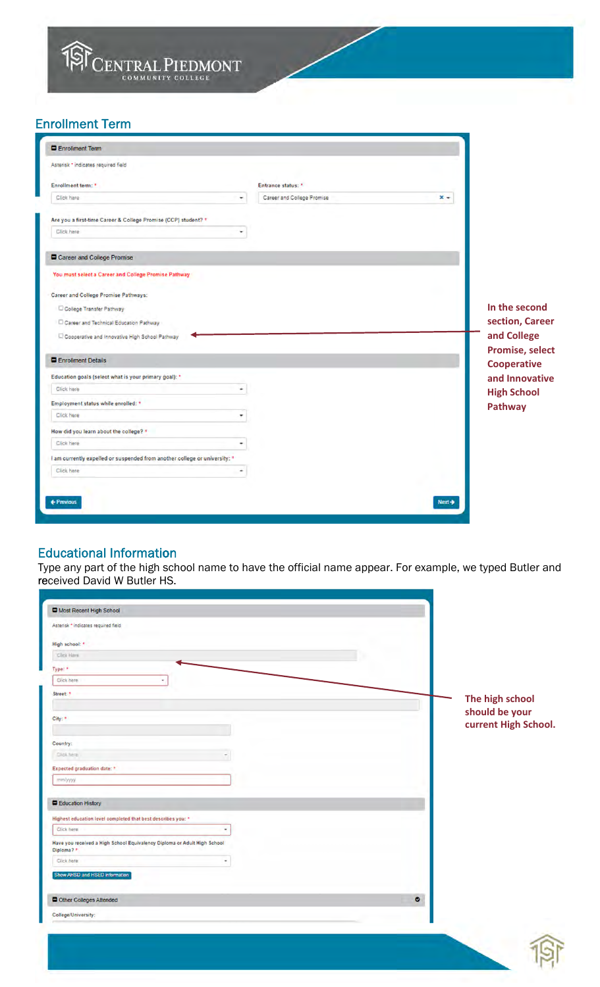

## Enrollment Term

| Enrollment Term                                                            |                            |       |                                       |
|----------------------------------------------------------------------------|----------------------------|-------|---------------------------------------|
| Asterisk * indicates required field                                        |                            |       |                                       |
| Enrollment term: *                                                         | Entrance status: *         |       |                                       |
| Click here<br>۰                                                            | Career and College Promise | $x -$ |                                       |
| Are you a first-time Career & College Promise (CCP) student? *             |                            |       |                                       |
| Click here                                                                 |                            |       |                                       |
| Career and College Promise                                                 |                            |       |                                       |
| You must select a Career and College Promise Pathway                       |                            |       |                                       |
| Career and College Promise Pathways:                                       |                            |       |                                       |
| College Transfer Pathway                                                   |                            |       | In the second                         |
| Career and Technical Education Pathway                                     |                            |       | section, Career                       |
| Cooperative and Innovative High School Pathway                             |                            |       | and College                           |
| Enrolment Details                                                          |                            |       | Promise, select<br><b>Cooperative</b> |
| Education goals (select what is your primary goal): *                      |                            |       | and Innovative                        |
| Click here<br>۰                                                            |                            |       | <b>High School</b>                    |
| Employment status while enrolled: *                                        |                            |       | Pathway                               |
| Click here                                                                 |                            |       |                                       |
| How did you learn about the college? *                                     |                            |       |                                       |
| Click here                                                                 |                            |       |                                       |
| I am currently expelled or suspended from another college or university: * |                            |       |                                       |
| Click here                                                                 |                            |       |                                       |
|                                                                            |                            |       |                                       |
|                                                                            |                            |       |                                       |

## Educational Information

Type any part of the high school name to have the official name appear. For example, we typed Butler and received David W Butler HS.

| College/University:                                                                    |           |                      |
|----------------------------------------------------------------------------------------|-----------|----------------------|
| Other Colleges Attended                                                                | $\bullet$ |                      |
| Show AHSD and HSED information                                                         |           |                      |
| Click here<br>۰                                                                        |           |                      |
| Have you received a High School Equivalency Diploma or Adult High School<br>Diploma? * |           |                      |
| Click here<br>٠                                                                        |           |                      |
| Highest education level completed that best describes you: *                           |           |                      |
| Education History                                                                      |           |                      |
| mmlyyyy                                                                                |           |                      |
| Expected graduation date: *                                                            |           |                      |
| Click here                                                                             |           |                      |
| Country:                                                                               |           |                      |
|                                                                                        |           | current High School. |
| City: *                                                                                |           | should be your       |
|                                                                                        |           | The high school      |
| Street:                                                                                |           |                      |
| Type: *<br>Click here                                                                  |           |                      |
| Click Hars                                                                             |           |                      |
| High school: *                                                                         |           |                      |
| Asterisk * indicates required field                                                    |           |                      |
| Most Recent High School                                                                |           |                      |

 $\frac{1}{2}$